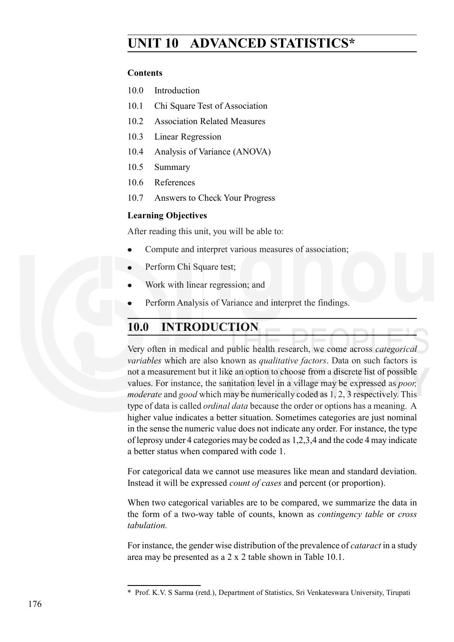# **UNIT 10 ADVANCED STATISTICS\***

#### **Contents**

- 10.0 Introduction
- 10.1 Chi Square Test of Association
- 10.2 Association Related Measures
- 10.3 Linear Regression
- 10.4 Analysis of Variance (ANOVA)
- 10.5 Summary
- 10.6 References
- 10.7 Answers to Check Your Progress

### **Learning Objectives**

After reading this unit, you will be able to:

- Compute and interpret various measures of association;
- Perform Chi Square test:
- Work with linear regression; and
- Perform Analysis of Variance and interpret the findings.

# **10.0 INTRODUCTION**

Very often in medical and public health research, we come across *categorical variables* which are also known as *qualitative factors*. Data on such factors is not a measurement but it like an option to choose from a discrete list of possible values. For instance, the sanitation level in a village may be expressed as *poor, moderate* and *good* which may be numerically coded as 1, 2, 3 respectively. This type of data is called *ordinal data* because the order or options has a meaning. A higher value indicates a better situation. Sometimes categories are just nominal in the sense the numeric value does not indicate any order. For instance, the type of leprosy under 4 categories may be coded as 1,2,3,4 and the code 4 may indicate a better status when compared with code 1.

For categorical data we cannot use measures like mean and standard deviation. Instead it will be expressed *count of cases* and percent (or proportion).

When two categorical variables are to be compared, we summarize the data in the form of a two-way table of counts, known as *contingency table* or *cross tabulation.*

For instance, the gender wise distribution of the prevalence of *cataract* in a study area may be presented as a 2 x 2 table shown in Table 10.1.

<sup>\*</sup> Prof. K.V. S Sarma (retd.), Department of Statistics, Sri Venkateswara University, Tirupati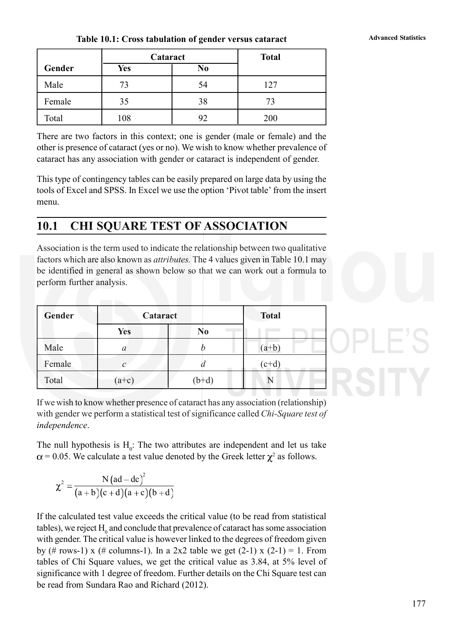| Table 10.1: Cross tabulation of gender versus cataract | <b>Advanced Statistics</b> |
|--------------------------------------------------------|----------------------------|
|--------------------------------------------------------|----------------------------|

|        | Cataract |    | <b>Total</b> |
|--------|----------|----|--------------|
| Gender | Yes      | No |              |
| Male   | 73       | 54 | 127          |
| Female | 35       | 38 | 73           |
| Total  | 108      | 92 | 200          |

There are two factors in this context; one is gender (male or female) and the other is presence of cataract (yes or no). We wish to know whether prevalence of cataract has any association with gender or cataract is independent of gender.

This type of contingency tables can be easily prepared on large data by using the tools of Excel and SPSS. In Excel we use the option 'Pivot table' from the insert menu.

# **10.1 CHI SQUARE TEST OF ASSOCIATION**

Association is the term used to indicate the relationship between two qualitative factors which are also known as *attributes.* The 4 values given in Table 10.1 may be identified in general as shown below so that we can work out a formula to perform further analysis.

| Gender | Cataract      | <b>Total</b>   |         |  |
|--------|---------------|----------------|---------|--|
|        | <b>Yes</b>    | N <sub>0</sub> |         |  |
| Male   | $\mathfrak a$ |                | $(a+b)$ |  |
| Female | $\mathcal{C}$ | а              | $(c+d)$ |  |
| Total  | $(a+c)$       | $(b+d)$        |         |  |
|        |               |                |         |  |

If we wish to know whether presence of cataract has any association (relationship) with gender we perform a statistical test of significance called *Chi-Square test of independence*.

The null hypothesis is  $H_0$ : The two attributes are independent and let us take  $= 0.05$ . We calculate a test value denoted by the Greek letter  $\chi^2$  as follows.

$$
\chi^2 = \frac{N\left(ad - dc\right)^2}{(a+b)(c+d)(a+c)(b+d)}
$$

If the calculated test value exceeds the critical value (to be read from statistical tables), we reject  $\mathrm{H}_{_0}$  and conclude that prevalence of cataract has some association with gender. The critical value is however linked to the degrees of freedom given by (# rows-1) x (# columns-1). In a 2x2 table we get  $(2-1)$  x  $(2-1) = 1$ . From tables of Chi Square values, we get the critical value as 3.84, at 5% level of significance with 1 degree of freedom. Further details on the Chi Square test can be read from Sundara Rao and Richard (2012).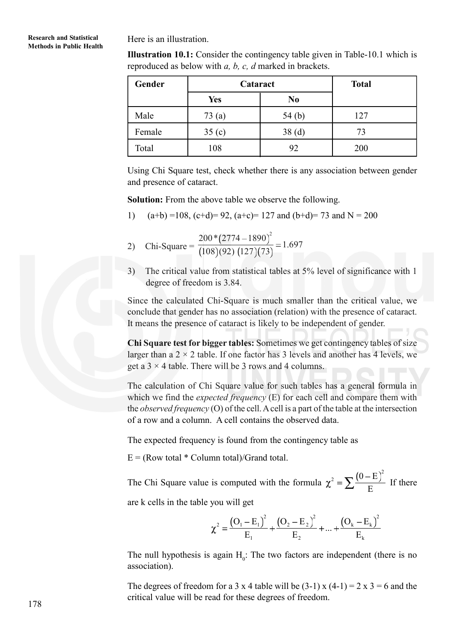#### **Research and Statistical Methods in Public Health**

Here is an illustration.

**Illustration 10.1:** Consider the contingency table given in Table-10.1 which is reproduced as below with *a, b, c, d* marked in brackets.

| Gender | Cataract   | <b>Total</b>   |     |
|--------|------------|----------------|-----|
|        | <b>Yes</b> | N <sub>0</sub> |     |
| Male   | 73 (a)     | 54 $(b)$       | 127 |
| Female | 35(c)      | 38(d)          | 73  |
| Total  | 108        | 92             | 200 |

Using Chi Square test, check whether there is any association between gender and presence of cataract.

**Solution:** From the above table we observe the following.

1) 
$$
(a+b)=108
$$
,  $(c+d)=92$ ,  $(a+c)=127$  and  $(b+d)=73$  and  $N=200$ 

- 2) Chi-Square =  $\frac{200*(2774-1890)^2}{(188)(88)(188)(78)} = 1.697$  $(108)(92) (127)(73)$
- 3) The critical value from statistical tables at 5% level of significance with 1 degree of freedom is 3.84.

Since the calculated Chi-Square is much smaller than the critical value, we conclude that gender has no association (relation) with the presence of cataract. It means the presence of cataract is likely to be independent of gender.

**Chi Square test for bigger tables:** Sometimes we get contingency tables of size larger than a  $2 \times 2$  table. If one factor has 3 levels and another has 4 levels, we get a  $3 \times 4$  table. There will be 3 rows and 4 columns.

The calculation of Chi Square value for such tables has a general formula in which we find the *expected frequency* (E) for each cell and compare them with the *observed frequency* (O) of the cell. A cell is a part of the table at the intersection of a row and a column. A cell contains the observed data.

The expected frequency is found from the contingency table as

 $E = (Row total * Column total)/Grand total.$ 

The Chi Square value is computed with the formula  $2 - \sum (0 - E)^2$ E If there

are k cells in the table you will get

$$
\chi^{2} = \frac{(O_{1} - E_{1})^{2}}{E_{1}} + \frac{(O_{2} - E_{2})^{2}}{E_{2}} + ... + \frac{(O_{k} - E_{k})^{2}}{E_{k}}
$$

The null hypothesis is again  $H_0$ : The two factors are independent (there is no association).

The degrees of freedom for a 3 x 4 table will be  $(3-1)$  x  $(4-1) = 2 \times 3 = 6$  and the critical value will be read for these degrees of freedom.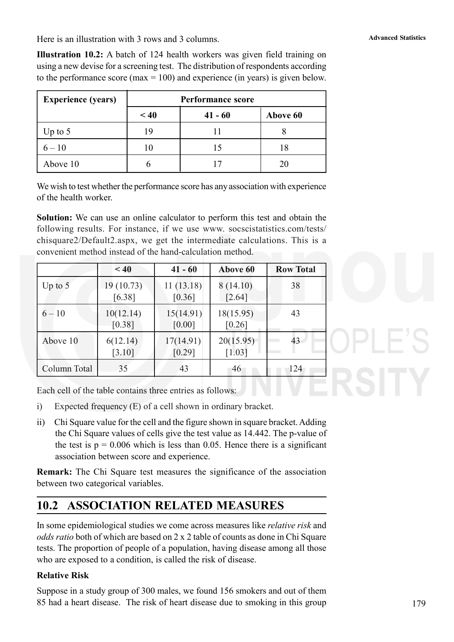Here is an illustration with 3 rows and 3 columns.

**Illustration 10.2:** A batch of 124 health workers was given field training on using a new devise for a screening test. The distribution of respondents according to the performance score (max  $= 100$ ) and experience (in years) is given below.

| <b>Experience (years)</b> |      | <b>Performance score</b> |          |  |  |  |  |  |  |
|---------------------------|------|--------------------------|----------|--|--|--|--|--|--|
|                           | < 40 | $41 - 60$                | Above 60 |  |  |  |  |  |  |
| Up to $5$                 | 19   |                          |          |  |  |  |  |  |  |
| $6 - 10$                  | 10   | 15                       | 18       |  |  |  |  |  |  |
| Above 10                  |      |                          | 20       |  |  |  |  |  |  |

We wish to test whether the performance score has any association with experience of the health worker.

**Solution:** We can use an online calculator to perform this test and obtain the following results. For instance, if we use www. socscistatistics.com/tests/ chisquare2/Default2.aspx, we get the intermediate calculations. This is a convenient method instead of the hand-calculation method.

|              | < 40                | $41 - 60$                        | Above 60              | <b>Row Total</b> |
|--------------|---------------------|----------------------------------|-----------------------|------------------|
| Up to $5$    | 19(10.73)<br>[6.38] | 11(13.18)<br>$\left[0.36\right]$ | 8(14.10)<br>[2.64]    | 38               |
| $6 - 10$     | 10(12.14)<br>[0.38] | 15(14.91)<br>[0.00]              | 18(15.95)<br>$[0.26]$ | 43               |
| Above 10     | 6(12.14)<br>[3.10]  | 17(14.91)<br>[0.29]              | 20(15.95)<br>$[1.03]$ | 43               |
| Column Total | 35                  | 43                               | 46                    | 124              |

Each cell of the table contains three entries as follows:

- i) Expected frequency (E) of a cell shown in ordinary bracket.
- ii) Chi Square value for the cell and the figure shown in square bracket. Adding the Chi Square values of cells give the test value as 14.442. The p-value of the test is  $p = 0.006$  which is less than 0.05. Hence there is a significant association between score and experience.

**Remark:** The Chi Square test measures the significance of the association between two categorical variables.

# **10.2 ASSOCIATION RELATED MEASURES**

In some epidemiological studies we come across measures like *relative risk* and *odds ratio* both of which are based on 2 x 2 table of counts as done in Chi Square tests. The proportion of people of a population, having disease among all those who are exposed to a condition, is called the risk of disease.

## **Relative Risk**

Suppose in a study group of 300 males, we found 156 smokers and out of them 85 had a heart disease. The risk of heart disease due to smoking in this group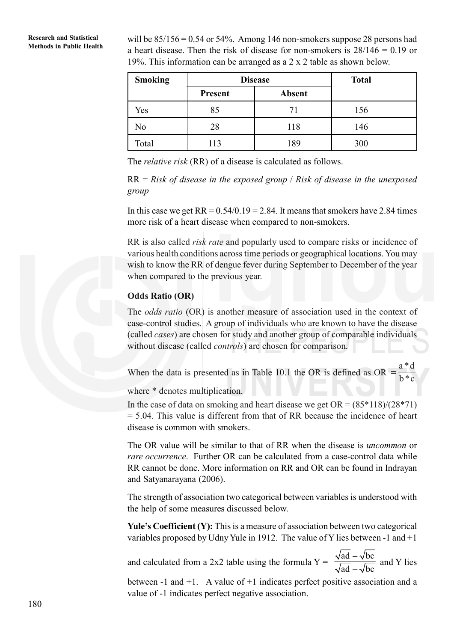**Research and Statistical** will be  $85/156 = 0.54$  or 54%. Among 146 non-smokers suppose 28 persons had Methods in Public Health a heart disease. Then the risk of disease for non-smokers is  $28/146 = 0.19$  or 19%. This information can be arranged as a 2 x 2 table as shown below.

| <b>Smoking</b> | <b>Disease</b> | <b>Total</b>  |     |
|----------------|----------------|---------------|-----|
|                | Present        | <b>Absent</b> |     |
| Yes            | 85             | 71            | 156 |
| No             | 28             | 118           | 146 |
| Total          | 113            | 189           | 300 |

The *relative risk* (RR) of a disease is calculated as follows.

RR = *Risk of disease in the exposed group* / *Risk of disease in the unexposed group*

In this case we get  $RR = 0.54/0.19 = 2.84$ . It means that smokers have 2.84 times more risk of a heart disease when compared to non-smokers.

RR is also called *risk rate* and popularly used to compare risks or incidence of various health conditions across time periods or geographical locations. You may wish to know the RR of dengue fever during September to December of the year when compared to the previous year.

#### **Odds Ratio (OR)**

The *odds ratio* (OR) is another measure of association used in the context of case-control studies. A group of individuals who are known to have the disease (called *cases*) are chosen for study and another group of comparable individuals without disease (called *controls*) are chosen for comparison.

When the data is presented as in Table 10.1 the OR is defined as OR a\*d b\*c

where  $*$  denotes multiplication.

In the case of data on smoking and heart disease we get  $OR = (85*118)/(28*71)$ = 5.04. This value is different from that of RR because the incidence of heart disease is common with smokers.

The OR value will be similar to that of RR when the disease is *uncommon* or *rare occurrence*. Further OR can be calculated from a case-control data while RR cannot be done. More information on RR and OR can be found in Indrayan and Satyanarayana (2006).

The strength of association two categorical between variables is understood with the help of some measures discussed below.

**Yule's Coefficient (Y):** This is a measure of association between two categorical variables proposed by Udny Yule in 1912. The value of Y lies between -1 and  $+1$ 

and calculated from a 2x2 table using the formula  $Y =$ ad  $-\sqrt{bc}$  $ad + \sqrt{bc}$ and Y lies

between -1 and +1. A value of +1 indicates perfect positive association and a value of -1 indicates perfect negative association.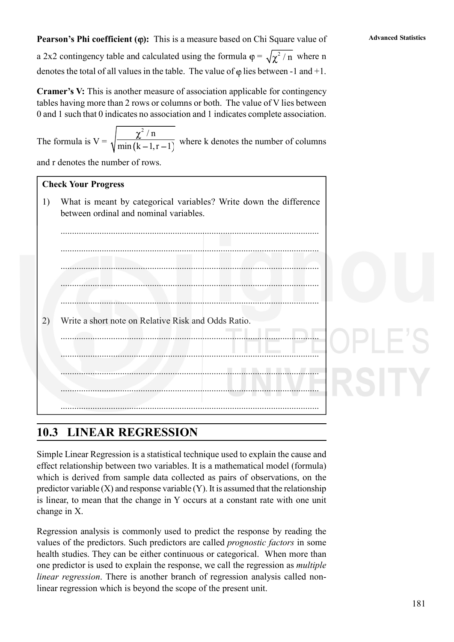**Pearson's Phi coefficient (** $\varphi$ **):** This is a measure based on Chi Square value of Advanced Statistics a 2x2 contingency table and calculated using the formula  $\varphi = \sqrt{\chi^2 / n}$  where n denotes the total of all values in the table. The value of  $\varphi$  lies between -1 and +1.

**Cramer's V:** This is another measure of association applicable for contingency tables having more than 2 rows or columns or both. The value of V lies between 0 and 1 such that 0 indicates no association and 1 indicates complete association.

The formula is  $V =$  $2/n$  $\frac{k(n+1)(r-1)}{r}$  where k denotes the number of columns

and r denotes the number of rows.

#### **Check Your Progress**

# **10.3 LINEAR REGRESSION**

Simple Linear Regression is a statistical technique used to explain the cause and effect relationship between two variables. It is a mathematical model (formula) which is derived from sample data collected as pairs of observations, on the predictor variable  $(X)$  and response variable  $(Y)$ . It is assumed that the relationship is linear, to mean that the change in Y occurs at a constant rate with one unit change in X.

Regression analysis is commonly used to predict the response by reading the values of the predictors. Such predictors are called *prognostic factors* in some health studies. They can be either continuous or categorical. When more than one predictor is used to explain the response, we call the regression as *multiple linear regression*. There is another branch of regression analysis called nonlinear regression which is beyond the scope of the present unit.

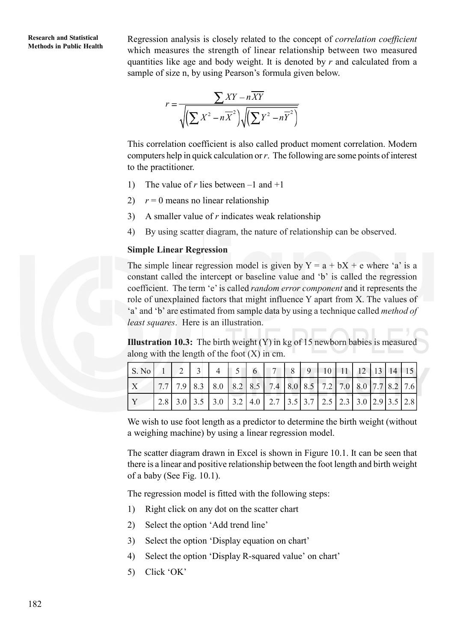**Research and Statistical**

**Methods in Public Health** Regression analysis is closely related to the concept of *correlation coefficient* Methods in Public Health which measures the strength of linear relationship between two measured quantities like age and body weight. It is denoted by *r* and calculated from a sample of size n, by using Pearson's formula given below.

$$
r = \frac{\sum XY - n\overline{XY}}{\sqrt{\left(\sum X^2 - n\overline{X}^2\right)\sqrt{\left(\sum Y^2 - n\overline{Y}^2\right)}}}
$$

This correlation coefficient is also called product moment correlation. Modern computers help in quick calculation or *r*. The following are some points of interest to the practitioner.

- 1) The value of *r* lies between  $-1$  and  $+1$
- 2)  $r = 0$  means no linear relationship
- 3) A smaller value of *r* indicates weak relationship
- 4) By using scatter diagram, the nature of relationship can be observed.

#### **Simple Linear Regression**

The simple linear regression model is given by  $Y = a + bX + e$  where 'a' is a constant called the intercept or baseline value and 'b' is called the regression coefficient. The term 'e' is called *random error component* and it represents the role of unexplained factors that might influence Y apart from X. The values of 'a' and 'b' are estimated from sample data by using a technique called *method of least squares*. Here is an illustration.

**Illustration 10.3:** The birth weight (Y) in kg of 15 newborn babies is measured along with the length of the foot  $(X)$  in cm.

|  |  |  |                                                             | $\sqrt{9}$ |  | 10 11 12 13 14 15 |  |  |
|--|--|--|-------------------------------------------------------------|------------|--|-------------------|--|--|
|  |  |  | 7.7 7.9 8.3 8.0 8.2 8.5 7.4 8.0 8.5 7.2 7.0 8.0 7.7 8.2 7.6 |            |  |                   |  |  |
|  |  |  | 2.8 3.0 3.5 3.0 3.2 4.0 2.7 3.5 3.7 2.5 2.3 3.0 2.9 3.5 2.8 |            |  |                   |  |  |

We wish to use foot length as a predictor to determine the birth weight (without a weighing machine) by using a linear regression model.

The scatter diagram drawn in Excel is shown in Figure 10.1. It can be seen that there is a linear and positive relationship between the foot length and birth weight of a baby (See Fig. 10.1).

The regression model is fitted with the following steps:

- 1) Right click on any dot on the scatter chart
- 2) Select the option 'Add trend line'
- 3) Select the option 'Display equation on chart'
- 4) Select the option 'Display R-squared value' on chart'
- 5) Click 'OK'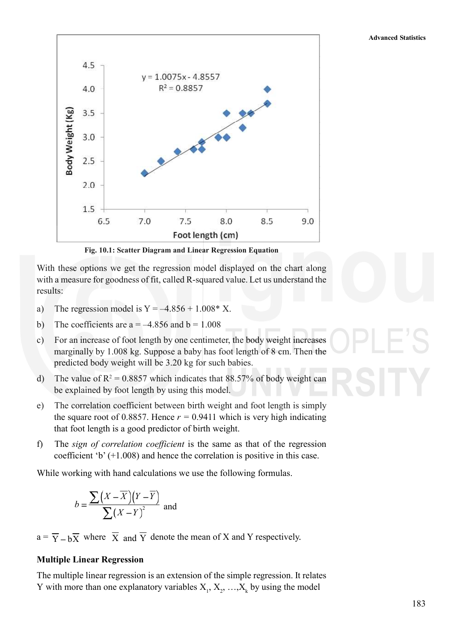**Advanced Statistics**



**Fig. 10.1: Scatter Diagram and Linear Regression Equation**

With these options we get the regression model displayed on the chart along with a measure for goodness of fit, called R-squared value. Let us understand the results:

- a) The regression model is  $Y = -4.856 + 1.008 * X$ .
- b) The coefficients are  $a = -4.856$  and  $b = 1.008$
- c) For an increase of foot length by one centimeter, the body weight increases marginally by 1.008 kg. Suppose a baby has foot length of 8 cm. Then the predicted body weight will be 3.20 kg for such babies.
- d) The value of  $R^2 = 0.8857$  which indicates that 88.57% of body weight can be explained by foot length by using this model.
- e) The correlation coefficient between birth weight and foot length is simply the square root of 0.8857. Hence  $r = 0.9411$  which is very high indicating that foot length is a good predictor of birth weight.
- f) The *sign of correlation coefficient* is the same as that of the regression coefficient 'b' (+1.008) and hence the correlation is positive in this case.

While working with hand calculations we use the following formulas.

$$
b = \frac{\sum (X - \overline{X})(Y - \overline{Y})}{\sum (X - Y)^2}
$$
 and

 $a = \overline{Y} - b\overline{X}$  where  $\overline{X}$  and  $\overline{Y}$  denote the mean of X and Y respectively.

#### **Multiple Linear Regression**

The multiple linear regression is an extension of the simple regression. It relates Y with more than one explanatory variables  $X_1, X_2, ..., X_k$  by using the model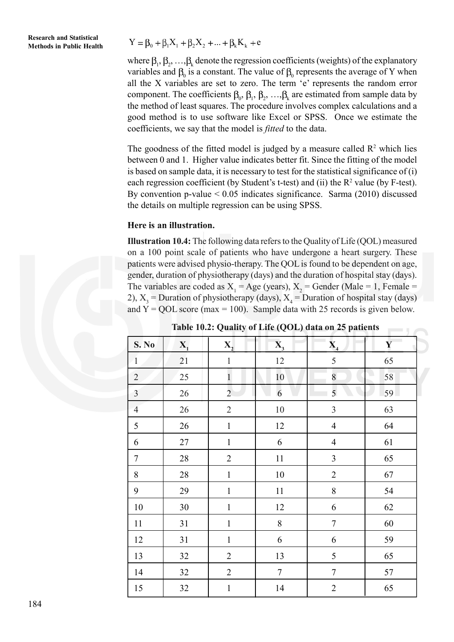**Methods in Public Health**  $Y = \beta_0 + \beta_1 X_1 + \beta_2 X_2 + ... + \beta_k K_k + e$ 

where  $\beta_1, \beta_2, ..., \beta_k$  denote the regression coefficients (weights) of the explanatory variables and  $\beta_0$  is a constant. The value of  $\beta_0$  represents the average of Y when all the X variables are set to zero. The term 'e' represents the random error component. The coefficients  $\beta_0$ ,  $\beta_1$ ,  $\beta_2$ , ...,  $\beta_k$  are estimated from sample data by the method of least squares. The procedure involves complex calculations and a good method is to use software like Excel or SPSS. Once we estimate the coefficients, we say that the model is *fitted* to the data.

The goodness of the fitted model is judged by a measure called  $\mathbb{R}^2$  which lies between 0 and 1. Higher value indicates better fit. Since the fitting of the model is based on sample data, it is necessary to test for the statistical significance of (i) each regression coefficient (by Student's t-test) and (ii) the  $R<sup>2</sup>$  value (by F-test). By convention p-value  $\leq 0.05$  indicates significance. Sarma (2010) discussed the details on multiple regression can be using SPSS.

#### **Here is an illustration.**

**Illustration 10.4:** The following data refers to the Quality of Life (QOL) measured on a 100 point scale of patients who have undergone a heart surgery. These patients were advised physio-therapy. The QOL is found to be dependent on age, gender, duration of physiotherapy (days) and the duration of hospital stay (days). The variables are coded as  $X_1 = Age$  (years),  $X_2 = Gender$  (Male = 1, Female = 2),  $X_3$  = Duration of physiotherapy (days),  $X_4$  = Duration of hospital stay (days) and  $Y = QOL$  score (max = 100). Sample data with 25 records is given below.

| <b>S. No</b>   | $\mathbf{X}_{1}$ | X,             | $\overline{X}_3$ | $\mathbf{X}_{4}$ | $\mathbf{Y}$ |
|----------------|------------------|----------------|------------------|------------------|--------------|
| $\mathbf{1}$   | 21               | $\,1$          | 12               | 5                | 65           |
| $\sqrt{2}$     | 25               | $\mathbf{1}$   | 10               | 8                | 58           |
| $\overline{3}$ | 26               | $\overline{2}$ | 6                | 5                | 59           |
| $\overline{4}$ | $26\,$           | $\sqrt{2}$     | $10\,$           | $\mathfrak{Z}$   | 63           |
| 5              | 26               | $\mathbf 1$    | 12               | $\overline{4}$   | 64           |
| 6              | $27\,$           | $\mathbf{1}$   | 6                | $\overline{4}$   | 61           |
| $\tau$         | $28\,$           | $\overline{2}$ | $11\,$           | $\mathfrak{Z}$   | 65           |
| $8\,$          | 28               | $\mathbf{1}$   | 10               | $\sqrt{2}$       | 67           |
| 9              | 29               | $\mathbf{1}$   | $11\,$           | $\,8\,$          | 54           |
| $10\,$         | $30\,$           | $\,1$          | $12\,$           | 6                | 62           |
| 11             | 31               | $\mathbf{1}$   | $\,8\,$          | $\boldsymbol{7}$ | 60           |
| 12             | 31               | $\mathbf{1}$   | 6                | 6                | 59           |
| 13             | 32               | $\overline{2}$ | 13               | 5                | 65           |
| 14             | 32               | $\overline{2}$ | $\boldsymbol{7}$ | $\sqrt{ }$       | 57           |
| 15             | 32               | $\,1$          | 14               | $\sqrt{2}$       | 65           |

**Table 10.2: Quality of Life (QOL) data on 25 patients**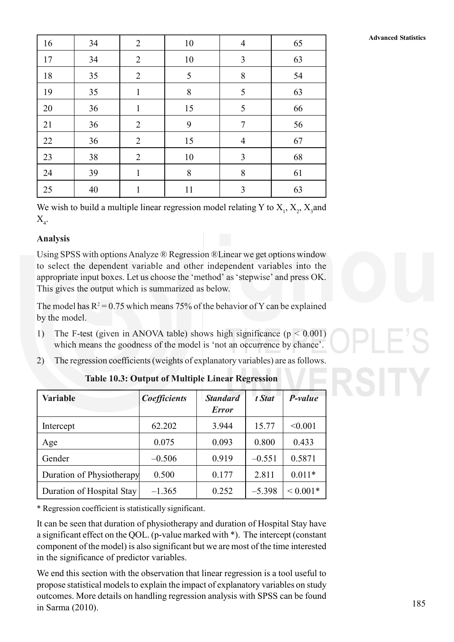|    |    |                |    |                |    | <b>Advanced Statistics</b> |
|----|----|----------------|----|----------------|----|----------------------------|
| 16 | 34 | 2              | 10 | $\overline{4}$ | 65 |                            |
| 17 | 34 | 2              | 10 | 3              | 63 |                            |
| 18 | 35 | $\overline{2}$ | 5  | 8              | 54 |                            |
| 19 | 35 | $\mathbf{I}$   | 8  | 5              | 63 |                            |
| 20 | 36 | 1              | 15 | 5              | 66 |                            |
| 21 | 36 | $\overline{2}$ | 9  | 7              | 56 |                            |
| 22 | 36 | $\overline{2}$ | 15 | $\overline{4}$ | 67 |                            |
| 23 | 38 | 2              | 10 | $\overline{3}$ | 68 |                            |
| 24 | 39 |                | 8  | 8              | 61 |                            |
| 25 | 40 |                | 11 | 3              | 63 |                            |

We wish to build a multiple linear regression model relating Y to  $X_1$ ,  $X_2$ ,  $X_3$  and  $X_{4}$ .

## **Analysis**

Using SPSS with options Analyze ® Regression ®Linear we get options window to select the dependent variable and other independent variables into the appropriate input boxes. Let us choose the 'method' as 'stepwise' and press OK. This gives the output which is summarized as below.

The model has  $R^2 = 0.75$  which means 75% of the behavior of Y can be explained by the model.

- 1) The F-test (given in ANOVA table) shows high significance ( $p < 0.001$ ) which means the goodness of the model is 'not an occurrence by chance'.
- 2) The regression coefficients (weights of explanatory variables) are as follows.

| <b>Variable</b>           | <b>Coefficients</b> | <b>Standard</b><br><b>Error</b> | t Stat   | P-value      |
|---------------------------|---------------------|---------------------------------|----------|--------------|
| Intercept                 | 62.202              | 3.944                           | 15.77    | < 0.001      |
| Age                       | 0.075               | 0.093                           | 0.800    | 0.433        |
| Gender                    | $-0.506$            | 0.919                           | $-0.551$ | 0.5871       |
| Duration of Physiotherapy | 0.500               | 0.177                           | 2.811    | $0.011*$     |
| Duration of Hospital Stay | $-1.365$            | 0.252                           | $-5.398$ | ${}< 0.001*$ |

**Table 10.3: Output of Multiple Linear Regression**

\* Regression coefficient is statistically significant.

It can be seen that duration of physiotherapy and duration of Hospital Stay have a significant effect on the QOL. (p-value marked with \*). The intercept (constant component of the model) is also significant but we are most of the time interested in the significance of predictor variables.

We end this section with the observation that linear regression is a tool useful to propose statistical models to explain the impact of explanatory variables on study outcomes. More details on handling regression analysis with SPSS can be found in Sarma (2010).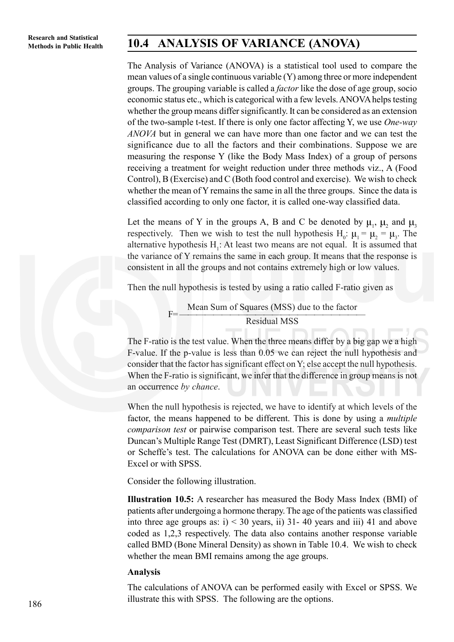# **Methods in Public Health 10.4 ANALYSIS OF VARIANCE (ANOVA)**

The Analysis of Variance (ANOVA) is a statistical tool used to compare the mean values of a single continuous variable (Y) among three or more independent groups. The grouping variable is called a *factor* like the dose of age group, socio economic status etc., which is categorical with a few levels. ANOVA helps testing whether the group means differ significantly. It can be considered as an extension of the two-sample t-test. If there is only one factor affecting Y, we use *One-way ANOVA* but in general we can have more than one factor and we can test the significance due to all the factors and their combinations. Suppose we are measuring the response Y (like the Body Mass Index) of a group of persons receiving a treatment for weight reduction under three methods viz., A (Food Control), B (Exercise) and C (Both food control and exercise). We wish to check whether the mean of Y remains the same in all the three groups. Since the data is classified according to only one factor, it is called one-way classified data.

Let the means of Y in the groups A, B and C be denoted by  $\mu_1$ ,  $\mu_2$  and  $\mu_3$ respectively. Then we wish to test the null hypothesis  $H_0: \mu_1 = \mu_2 = \mu_3$ . The alternative hypothesis  $H_1$ : At least two means are not equal. It is assumed that the variance of Y remains the same in each group. It means that the response is consistent in all the groups and not contains extremely high or low values.

Then the null hypothesis is tested by using a ratio called F-ratio given as

F Mean Sum of Squares (MSS) due to the factor Residual MSS

The F-ratio is the test value. When the three means differ by a big gap we a high F-value. If the p-value is less than 0.05 we can reject the null hypothesis and consider that the factor has significant effect on Y; else accept the null hypothesis. When the F-ratio is significant, we infer that the difference in group means is not an occurrence *by chance*.

When the null hypothesis is rejected, we have to identify at which levels of the factor, the means happened to be different. This is done by using a *multiple comparison test* or pairwise comparison test. There are several such tests like Duncan's Multiple Range Test (DMRT), Least Significant Difference (LSD) test or Scheffe's test. The calculations for ANOVA can be done either with MS-Excel or with SPSS.

Consider the following illustration.

**Illustration 10.5:** A researcher has measured the Body Mass Index (BMI) of patients after undergoing a hormone therapy. The age of the patients was classified into three age groups as:  $i$   $>$  30 years, ii) 31-40 years and iii) 41 and above coded as 1,2,3 respectively. The data also contains another response variable called BMD (Bone Mineral Density) as shown in Table 10.4. We wish to check whether the mean BMI remains among the age groups.

#### **Analysis**

The calculations of ANOVA can be performed easily with Excel or SPSS. We illustrate this with SPSS. The following are the options.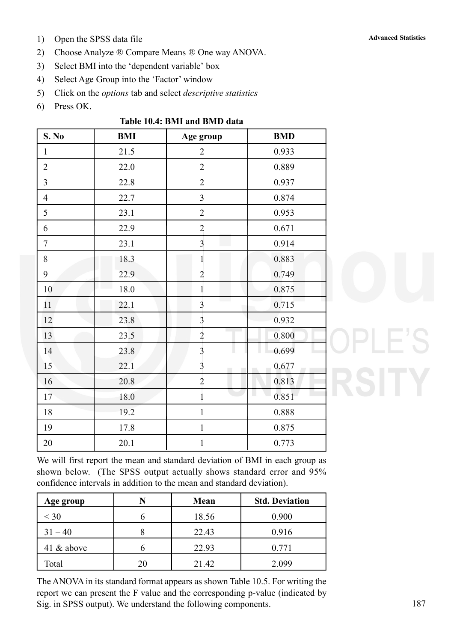- 1) Open the SPSS data file **Advanced Statistics Advanced Statistics**
- 2) Choose Analyze ® Compare Means ® One way ANOVA.
- 3) Select BMI into the 'dependent variable' box
- 4) Select Age Group into the 'Factor' window

5) Click on the *options* tab and select *descriptive statistics*

6) Press OK.

| S. No          | <b>BMI</b> | Age group                               | <b>BMD</b> |
|----------------|------------|-----------------------------------------|------------|
| $\mathbf{1}$   | 21.5       | $\overline{2}$                          | 0.933      |
| $\overline{2}$ | 22.0       | $\overline{2}$                          | 0.889      |
| $\overline{3}$ | 22.8       | $\overline{2}$                          | 0.937      |
| $\overline{4}$ | 22.7       | 3                                       | 0.874      |
| 5              | 23.1       | $\overline{2}$                          | 0.953      |
| 6              | 22.9       | $\overline{2}$                          | 0.671      |
| $\tau$         | 23.1       | $\overline{\mathbf{3}}$                 | 0.914      |
| 8              | 18.3       | $\mathbf{1}$                            | 0.883      |
| 9              | 22.9       | $\overline{2}$                          | 0.749      |
| 10             | 18.0       | $\mathbf{1}$                            | 0.875      |
| 11             | 22.1       | $\overline{3}$                          | 0.715      |
| 12             | 23.8       | $\overline{3}$                          | 0.932      |
| 13             | 23.5       | $\overline{2}$                          | 0.800      |
| 14             | 23.8       | $\overline{\mathbf{3}}$                 | 0.699      |
| 15             | 22.1       | $\overline{\mathbf{3}}$<br>$\mathbf{r}$ | 0.677      |
| 16             | 20.8       | $\overline{2}$                          | 0.813      |
| 17             | 18.0       | 1                                       | ш<br>0.851 |
| 18             | 19.2       | $\mathbf{1}$                            | 0.888      |
| 19             | 17.8       | $\mathbf{1}$                            | 0.875      |
| 20             | 20.1       | $\mathbf{1}$                            | 0.773      |

We will first report the mean and standard deviation of BMI in each group as shown below. (The SPSS output actually shows standard error and 95% confidence intervals in addition to the mean and standard deviation).

| Age group     | N | Mean  | <b>Std. Deviation</b> |
|---------------|---|-------|-----------------------|
| $<$ 30        |   | 18.56 | 0.900                 |
| $31 - 40$     |   | 22.43 | 0.916                 |
| 41 $\&$ above |   | 22.93 | 0.771                 |
| Total         |   | 21.42 | 2.099                 |

The ANOVA in its standard format appears as shown Table 10.5. For writing the report we can present the F value and the corresponding p-value (indicated by Sig. in SPSS output). We understand the following components.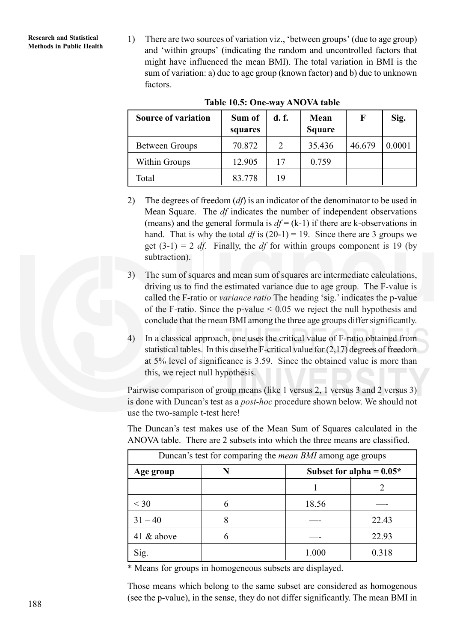**Research and Statistical**

**Research and Statistical 1)** There are two sources of variation viz., 'between groups' (due to age group) Methods in Public Health and 'within groups' (indicating the random and uncontrolled factors that might have influenced the mean BMI). The total variation in BMI is the sum of variation: a) due to age group (known factor) and b) due to unknown factors.

| <b>Source of variation</b> | Sum of<br>squares | d. f.         | Mean<br><b>Square</b> | F      | Sig.   |
|----------------------------|-------------------|---------------|-----------------------|--------|--------|
| Between Groups             | 70.872            | $\mathcal{L}$ | 35.436                | 46.679 | 0.0001 |
| Within Groups              | 12.905            | 17            | 0.759                 |        |        |
| Total                      | 83.778            | 19            |                       |        |        |

#### **Table 10.5: One-way ANOVA table**

- 2) The degrees of freedom (*df*) is an indicator of the denominator to be used in Mean Square. The *df* indicates the number of independent observations (means) and the general formula is  $df = (k-1)$  if there are k-observations in hand. That is why the total  $df$  is (20-1) = 19. Since there are 3 groups we get  $(3-1) = 2 df$ . Finally, the *df* for within groups component is 19 (by subtraction).
- 3) The sum of squares and mean sum of squares are intermediate calculations, driving us to find the estimated variance due to age group. The F-value is called the F-ratio or *variance ratio* The heading 'sig.' indicates the p-value of the F-ratio. Since the p-value  $\leq 0.05$  we reject the null hypothesis and conclude that the mean BMI among the three age groups differ significantly.
- 4) In a classical approach, one uses the critical value of F-ratio obtained from statistical tables. In this case the F-critical value for (2,17) degrees of freedom at 5% level of significance is 3.59. Since the obtained value is more than this, we reject null hypothesis.

Pairwise comparison of group means (like 1 versus 2, 1 versus 3 and 2 versus 3) is done with Duncan's test as a *post-hoc* procedure shown below. We should not use the two-sample t-test here!

The Duncan's test makes use of the Mean Sum of Squares calculated in the ANOVA table. There are 2 subsets into which the three means are classified.

| Duncan's test for comparing the <i>mean BMI</i> among age groups |  |                            |       |  |
|------------------------------------------------------------------|--|----------------------------|-------|--|
| Age group                                                        |  | Subset for alpha = $0.05*$ |       |  |
|                                                                  |  |                            |       |  |
| $<$ 30                                                           |  | 18.56                      |       |  |
| $31 - 40$                                                        |  |                            | 22.43 |  |
| 41 & above                                                       |  |                            | 22.93 |  |
| Sig.                                                             |  | 1.000                      | 0.318 |  |

\* Means for groups in homogeneous subsets are displayed.

Those means which belong to the same subset are considered as homogenous (see the p-value), in the sense, they do not differ significantly. The mean BMI in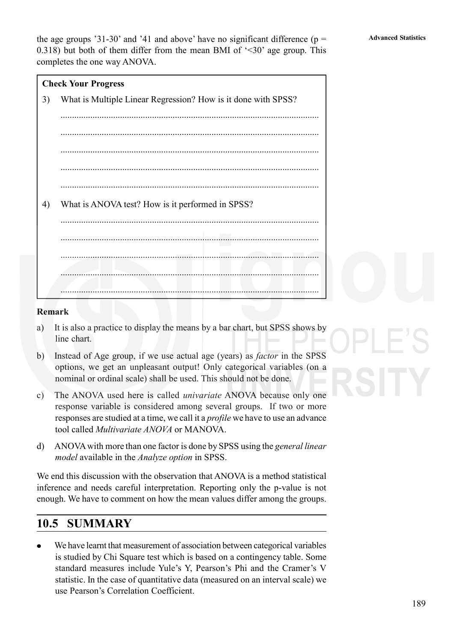the age groups '31-30' and '41 and above' have no significant difference ( $p =$   $\alpha$  Advanced Statistics 0.318) but both of them differ from the mean BMI of  $\leq 30$  age group. This completes the one way ANOVA.

#### **Check Your Progress**

3) What is Multiple Linear Regression? How is it done with SPSS? ................................................................................................................. ................................................................................................................. ................................................................................................................. ................................................................................................................. 4) What is ANOVA test? How is it performed in SPSS? ................................................................................................................. ................................................................................................................. ................................................................................................................. ................................................................................................................. .................................................................................................................

#### **Remark**

- a) It is also a practice to display the means by a bar chart, but SPSS shows by line chart.
- b) Instead of Age group, if we use actual age (years) as *factor* in the SPSS options, we get an unpleasant output! Only categorical variables (on a nominal or ordinal scale) shall be used. This should not be done.
- c) The ANOVA used here is called *univariate* ANOVA because only one response variable is considered among several groups. If two or more responses are studied at a time, we call it a *profile* we have to use an advance tool called *Multivariate ANOVA* or MANOVA.
- d) ANOVA with more than one factor is done by SPSS using the *general linear model* available in the *Analyze option* in SPSS.

We end this discussion with the observation that ANOVA is a method statistical inference and needs careful interpretation. Reporting only the p-value is not enough. We have to comment on how the mean values differ among the groups.

## **10.5 SUMMARY**

We have learnt that measurement of association between categorical variables is studied by Chi Square test which is based on a contingency table. Some standard measures include Yule's Y, Pearson's Phi and the Cramer's V statistic. In the case of quantitative data (measured on an interval scale) we use Pearson's Correlation Coefficient.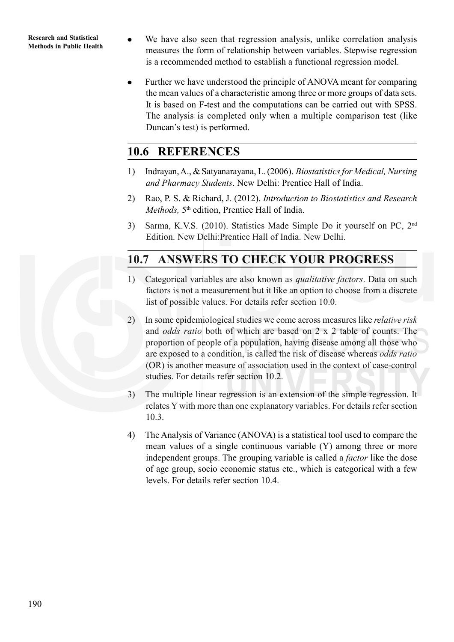**Research and Statistical**

- **Research and Statistical We have also seen that regression analysis, unlike correlation analysis**<br>Methods in Public Health measures the form of relationship between variables. Stepwise regression is a recommended method to establish a functional regression model.
	- Further we have understood the principle of ANOVA meant for comparing the mean values of a characteristic among three or more groups of data sets. It is based on F-test and the computations can be carried out with SPSS. The analysis is completed only when a multiple comparison test (like Duncan's test) is performed.

# **10.6 REFERENCES**

- 1) Indrayan, A., & Satyanarayana, L. (2006). *Biostatistics for Medical, Nursing and Pharmacy Students*. New Delhi: Prentice Hall of India.
- 2) Rao, P. S. & Richard, J. (2012). *Introduction to Biostatistics and Research Methods*, 5<sup>th</sup> edition, Prentice Hall of India.
- 3) Sarma, K.V.S. (2010). Statistics Made Simple Do it yourself on PC, 2nd Edition. New Delhi:Prentice Hall of India. New Delhi.

# **10.7 ANSWERS TO CHECK YOUR PROGRESS**

- 1) Categorical variables are also known as *qualitative factors*. Data on such factors is not a measurement but it like an option to choose from a discrete list of possible values. For details refer section 10.0.
- 2) In some epidemiological studies we come across measures like *relative risk* and *odds ratio* both of which are based on 2 x 2 table of counts. The proportion of people of a population, having disease among all those who are exposed to a condition, is called the risk of disease whereas *odds ratio* (OR) is another measure of association used in the context of case-control studies. For details refer section 10.2.
- 3) The multiple linear regression is an extension of the simple regression. It relates Y with more than one explanatory variables. For details refer section 10.3.
- 4) The Analysis of Variance (ANOVA) is a statistical tool used to compare the mean values of a single continuous variable (Y) among three or more independent groups. The grouping variable is called a *factor* like the dose of age group, socio economic status etc., which is categorical with a few levels. For details refer section 10.4.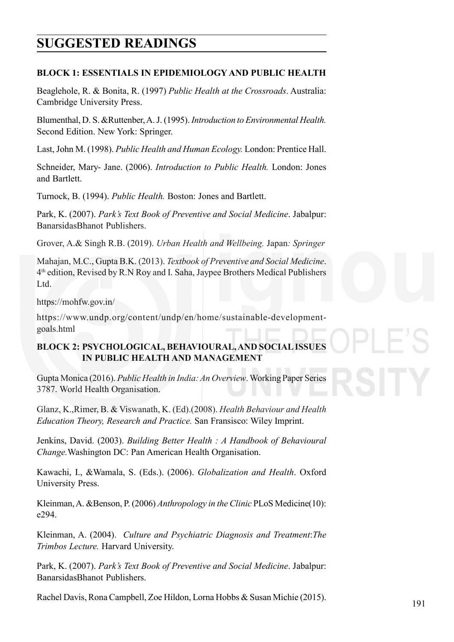# **Advanced Statistics SUGGESTED READINGS**

### **BLOCK 1: ESSENTIALS IN EPIDEMIOLOGY AND PUBLIC HEALTH**

Beaglehole, R. & Bonita, R. (1997) *Public Health at the Crossroads*. Australia: Cambridge University Press.

Blumenthal, D. S. &Ruttenber, A. J. (1995). *Introduction to Environmental Health.* Second Edition. New York: Springer.

Last, John M. (1998). *Public Health and Human Ecology.* London: Prentice Hall.

Schneider, Mary- Jane. (2006). *Introduction to Public Health.* London: Jones and Bartlett.

Turnock, B. (1994). *Public Health.* Boston: Jones and Bartlett.

Park, K. (2007). *Park's Text Book of Preventive and Social Medicine*. Jabalpur: BanarsidasBhanot Publishers.

Grover, A.& Singh R.B. (2019). *Urban Health and Wellbeing.* Japan*: Springer*

Mahajan, M.C., Gupta B.K. (2013). *Textbook of Preventive and Social Medicine*. 4th edition, Revised by R.N Roy and I. Saha, Jaypee Brothers Medical Publishers Ltd.

https://mohfw.gov.in/

https://www.undp.org/content/undp/en/home/sustainable-developmentgoals.html

## **BLOCK 2: PSYCHOLOGICAL, BEHAVIOURAL, AND SOCIAL ISSUES IN PUBLIC HEALTH AND MANAGEMENT**

Gupta Monica (2016). *Public Health in India: An Overview*. Working Paper Series 3787. World Health Organisation.

Glanz, K.,Rimer, B. & Viswanath, K. (Ed).(2008). *Health Behaviour and Health Education Theory, Research and Practice.* San Fransisco: Wiley Imprint.

Jenkins, David. (2003). *Building Better Health : A Handbook of Behavioural Change.*Washington DC: Pan American Health Organisation.

Kawachi, I., &Wamala, S. (Eds.). (2006). *Globalization and Health*. Oxford University Press.

Kleinman, A. &Benson, P. (2006) *Anthropology in the Clinic* PLoS Medicine(10): e294.

Kleinman, A. (2004). *Culture and Psychiatric Diagnosis and Treatment*:*The Trimbos Lecture.* Harvard University.

Park, K. (2007). *Park's Text Book of Preventive and Social Medicine*. Jabalpur: BanarsidasBhanot Publishers.

Rachel Davis, Rona Campbell, Zoe Hildon, Lorna Hobbs & Susan Michie (2015).